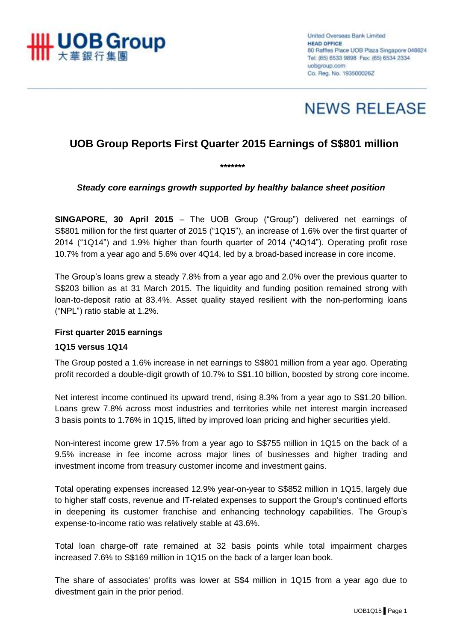

United Overseas Bank Limited **HEAD OFFICE** 80 Raffles Place UOB Plaza Singapore 048624 Tel: (65) 6533 9898 Fax: (65) 6534 2334 uobgroup.com Co. Reg. No. 193500026Z



# **UOB Group Reports First Quarter 2015 Earnings of S\$801 million**

*Steady core earnings growth supported by healthy balance sheet position*

*\*\*\*\*\*\*\**

**SINGAPORE, 30 April 2015** – The UOB Group ("Group") delivered net earnings of S\$801 million for the first quarter of 2015 ("1Q15"), an increase of 1.6% over the first quarter of 2014 ("1Q14") and 1.9% higher than fourth quarter of 2014 ("4Q14"). Operating profit rose 10.7% from a year ago and 5.6% over 4Q14, led by a broad-based increase in core income.

The Group's loans grew a steady 7.8% from a year ago and 2.0% over the previous quarter to S\$203 billion as at 31 March 2015. The liquidity and funding position remained strong with loan-to-deposit ratio at 83.4%. Asset quality stayed resilient with the non-performing loans ("NPL") ratio stable at 1.2%.

#### **First quarter 2015 earnings**

#### **1Q15 versus 1Q14**

The Group posted a 1.6% increase in net earnings to S\$801 million from a year ago. Operating profit recorded a double-digit growth of 10.7% to S\$1.10 billion, boosted by strong core income.

Net interest income continued its upward trend, rising 8.3% from a year ago to S\$1.20 billion. Loans grew 7.8% across most industries and territories while net interest margin increased 3 basis points to 1.76% in 1Q15, lifted by improved loan pricing and higher securities yield.

Non-interest income grew 17.5% from a year ago to S\$755 million in 1Q15 on the back of a 9.5% increase in fee income across major lines of businesses and higher trading and investment income from treasury customer income and investment gains.

Total operating expenses increased 12.9% year-on-year to S\$852 million in 1Q15, largely due to higher staff costs, revenue and IT-related expenses to support the Group's continued efforts in deepening its customer franchise and enhancing technology capabilities. The Group's expense-to-income ratio was relatively stable at 43.6%.

Total loan charge-off rate remained at 32 basis points while total impairment charges increased 7.6% to S\$169 million in 1Q15 on the back of a larger loan book.

The share of associates' profits was lower at S\$4 million in 1Q15 from a year ago due to divestment gain in the prior period.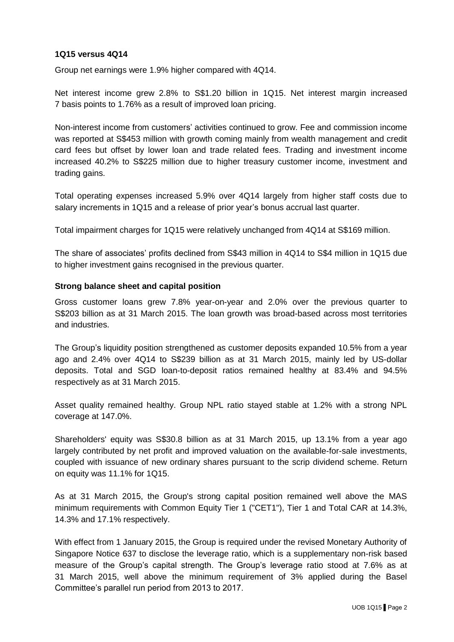## **1Q15 versus 4Q14**

Group net earnings were 1.9% higher compared with 4Q14.

Net interest income grew 2.8% to S\$1.20 billion in 1Q15. Net interest margin increased 7 basis points to 1.76% as a result of improved loan pricing.

Non-interest income from customers' activities continued to grow. Fee and commission income was reported at S\$453 million with growth coming mainly from wealth management and credit card fees but offset by lower loan and trade related fees. Trading and investment income increased 40.2% to S\$225 million due to higher treasury customer income, investment and trading gains.

Total operating expenses increased 5.9% over 4Q14 largely from higher staff costs due to salary increments in 1Q15 and a release of prior year's bonus accrual last quarter.

Total impairment charges for 1Q15 were relatively unchanged from 4Q14 at S\$169 million.

The share of associates' profits declined from S\$43 million in 4Q14 to S\$4 million in 1Q15 due to higher investment gains recognised in the previous quarter.

#### **Strong balance sheet and capital position**

Gross customer loans grew 7.8% year-on-year and 2.0% over the previous quarter to S\$203 billion as at 31 March 2015. The loan growth was broad-based across most territories and industries.

The Group's liquidity position strengthened as customer deposits expanded 10.5% from a year ago and 2.4% over 4Q14 to S\$239 billion as at 31 March 2015, mainly led by US-dollar deposits. Total and SGD loan-to-deposit ratios remained healthy at 83.4% and 94.5% respectively as at 31 March 2015.

Asset quality remained healthy. Group NPL ratio stayed stable at 1.2% with a strong NPL coverage at 147.0%.

Shareholders' equity was S\$30.8 billion as at 31 March 2015, up 13.1% from a year ago largely contributed by net profit and improved valuation on the available-for-sale investments, coupled with issuance of new ordinary shares pursuant to the scrip dividend scheme. Return on equity was 11.1% for 1Q15.

As at 31 March 2015, the Group's strong capital position remained well above the MAS minimum requirements with Common Equity Tier 1 ("CET1"), Tier 1 and Total CAR at 14.3%, 14.3% and 17.1% respectively.

With effect from 1 January 2015, the Group is required under the revised Monetary Authority of Singapore Notice 637 to disclose the leverage ratio, which is a supplementary non-risk based measure of the Group's capital strength. The Group's leverage ratio stood at 7.6% as at 31 March 2015, well above the minimum requirement of 3% applied during the Basel Committee's parallel run period from 2013 to 2017.